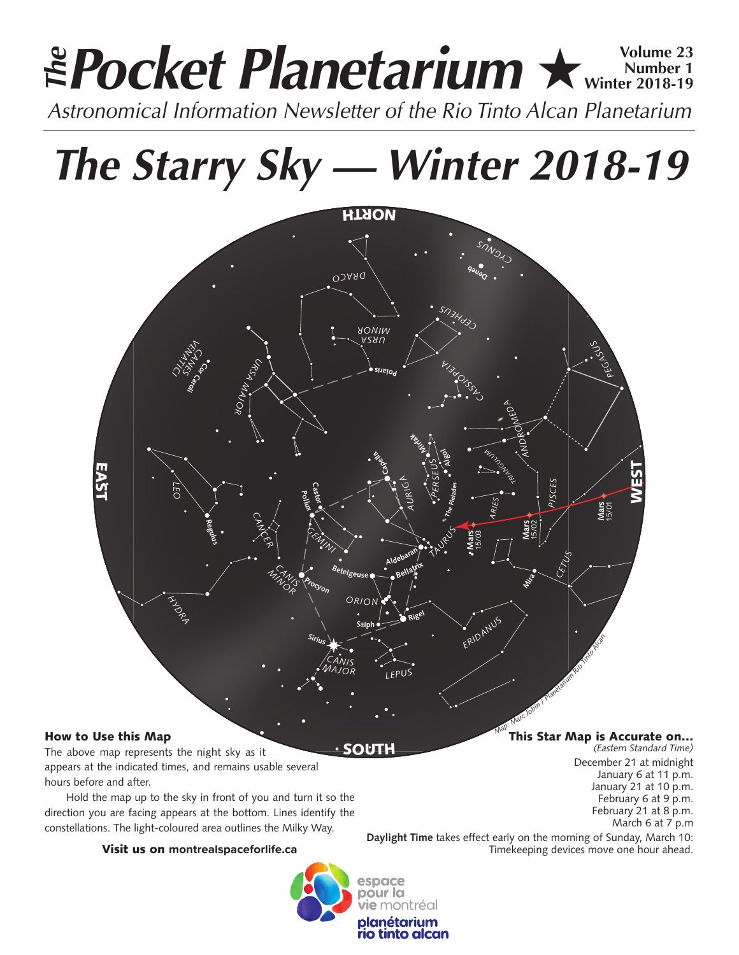# **Pocket Planetarium ★ Winter 2018-19 Number 1 Winter 2018-19** *Astronomical Information Newsletter of the Rio Tinto Alcan Planetarium The*

*The Starry Sky — Winter 2018-19*



# How to Use this Map

The above map represents the night sky as it appears at the indicated times, and remains usable several hours before and after.

Hold the map up to the sky in front of you and turn it so the direction you are facing appears at the bottom. Lines identify the constellations. The light-coloured area outlines the Milky Way.

# Visit us on **montrealspaceforlife.ca**



SOUTH

This Star Map is Accurate on…

*(Eastern Standard Time)* December 21 at midnight January 6 at 11 p.m. January 21 at 10 p.m. February 6 at 9 p.m. February 21 at 8 p.m. March 6 at 7 p.m

**Daylight Time** takes effect early on the morning of Sunday, March 10: Timekeeping devices move one hour ahead.